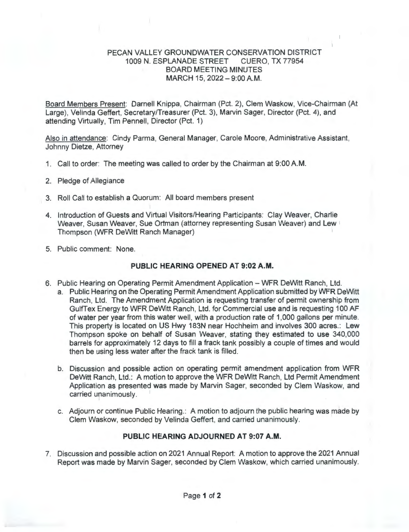## PECAN VALLEY GROUNDWATER CONSERVATION DISTRICT<br>1009 N. ESPLANADE STREET CUERO. TX 77954 1009 N. ESPLANADE STREET BOARD MEETING MINUTES MARCH 15, 2022 - 9:00 A.M.

Board Members Present: Darnell Knippa, Chairman (Pct. 2), Clem Waskow, Vice-Chairman (At Large), Velinda Geffert, Secretary/Treasurer (Pct. 3), Marvin Sager, Director (Pct. 4), and attending Virtually, Tim Pennell, Director (Pct. 1)

Also in attendance: Cindy Parma, General Manager, Carole Moore, Administrative Assistant, Johnny Dietze, Attorney

- 1. Call to order: The meeting was called to order by the Chairman at 9:00 A.M .
- 2. Pledge of Allegiance
- 3. Roll Call to establish a Quorum: All board members present
- 4. Introduction of Guests and Virtual Visitors/Hearing Participants: Clay Weaver, Charlie Weaver, Susan Weaver, Sue Ortman (attorney representing Susan Weaver) and Lew 1 Thompson (WFR DeWitt Ranch Manager)
- 5. Public comment: None.

## **PUBLIC HEARING OPENED AT 9:02 A.M.**

- 6. Public Hearing on Operating Permit Amendment Application WFR DeWitt Ranch, Ltd.
	- a. Public Hearing on the Operating Permit Amendment Application submitted by WFR DeWitt Ranch, Ltd. The Amendment Application is requesting transfer of permit ownership from GulfTex Energy to WFR DeWitt Ranch, Ltd. for Commercial use and is requesting 100 AF of water per year from this water well, with a production rate of 1,000 gallons per minute. This property is located on US Hwy 183N near Hochheim and involves 300 acres.: Lew Thompson spoke on behalf of Susan Weaver, stating they estimated to use 340,000 barrels for approximately 12 days to fill a frack tank possibly a couple of times and would then be using less water after the frack tank is filled.
	- b. Discussion and possible action on operating permit amendment application from WFR DeWitt Ranch, Ltd.: A motion to approve the WFR DeWitt Ranch, Ltd Permit Amendment Application as presented was made by Marvin Sager, seconded by Clem Waskow, and carried unanimously.
	- c. Adjourn or continue Public Hearing. : A motion to adjourn the public hearing was made by Clem Waskow, seconded by Velinda Geffert, and carried unanimously.

## **PUBLIC HEARING ADJOURNED AT 9:07 A.M.**

7. Discussion and possible action on 2021 Annual Report: A motion to approve the 2021 Annual Report was made by Marvin Sager, seconded by Clem Waskow, which carried unanimously.